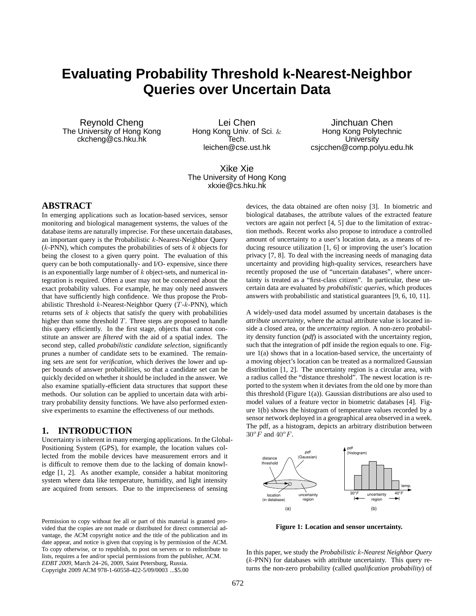# **Evaluating Probability Threshold k-Nearest-Neighbor Queries over Uncertain Data**

Reynold Cheng The University of Hong Kong ckcheng@cs.hku.hk

Lei Chen Hong Kong Univ. of Sci. & Tech. leichen@cse.ust.hk

Jinchuan Chen Hong Kong Polytechnic **University** csjcchen@comp.polyu.edu.hk

Xike Xie The University of Hong Kong xkxie@cs.hku.hk

## **ABSTRACT**

In emerging applications such as location-based services, sensor monitoring and biological management systems, the values of the database items are naturally imprecise. For these uncertain databases, an important query is the Probabilistic  $k$ -Nearest-Neighbor Query  $(k-PNN)$ , which computes the probabilities of sets of  $k$  objects for being the closest to a given query point. The evaluation of this query can be both computationally- and I/O- expensive, since there is an exponentially large number of  $k$  object-sets, and numerical integration is required. Often a user may not be concerned about the exact probability values. For example, he may only need answers that have sufficiently high confidence. We thus propose the Probabilistic Threshold  $k$ -Nearest-Neighbor Query ( $T-k$ -PNN), which returns sets of  $k$  objects that satisfy the query with probabilities higher than some threshold T. Three steps are proposed to handle this query efficiently. In the first stage, objects that cannot constitute an answer are *filtered* with the aid of a spatial index. The second step, called *probabilistic candidate selection*, significantly prunes a number of candidate sets to be examined. The remaining sets are sent for *verification*, which derives the lower and upper bounds of answer probabilities, so that a candidate set can be quickly decided on whether it should be included in the answer. We also examine spatially-efficient data structures that support these methods. Our solution can be applied to uncertain data with arbitrary probability density functions. We have also performed extensive experiments to examine the effectiveness of our methods.

# **1. INTRODUCTION**

Uncertainty is inherent in many emerging applications. In the Global-Positioning System (GPS), for example, the location values collected from the mobile devices have measurement errors and it is difficult to remove them due to the lacking of domain knowledge [1, 2]. As another example, consider a habitat monitoring system where data like temperature, humidity, and light intensity are acquired from sensors. Due to the impreciseness of sensing

Permission to copy without fee all or part of this material is granted provided that the copies are not made or distributed for direct commercial advantage, the ACM copyright notice and the title of the publication and its date appear, and notice is given that copying is by permission of the ACM. To copy otherwise, or to republish, to post on servers or to redistribute to lists, requires a fee and/or special permissions from the publisher, ACM. *EDBT 2009*, March 24–26, 2009, Saint Petersburg, Russia. Copyright 2009 ACM 978-1-60558-422-5/09/0003 ...\$5.00

devices, the data obtained are often noisy [3]. In biometric and biological databases, the attribute values of the extracted feature vectors are again not perfect [4, 5] due to the limitation of extraction methods. Recent works also propose to introduce a controlled amount of uncertainty to a user's location data, as a means of reducing resource utilization [1, 6] or improving the user's location privacy [7, 8]. To deal with the increasing needs of managing data uncertainty and providing high-quality services, researchers have recently proposed the use of "uncertain databases", where uncertainty is treated as a "first-class citizen". In particular, these uncertain data are evaluated by *probabilistic queries*, which produces answers with probabilistic and statistical guarantees [9, 6, 10, 11].

A widely-used data model assumed by uncertain databases is the *attribute uncertainty*, where the actual attribute value is located inside a closed area, or the *uncertainty region*. A non-zero probability density function (*pdf*) is associated with the uncertainty region, such that the integration of pdf inside the region equals to one. Figure 1(a) shows that in a location-based service, the uncertainty of a moving object's location can be treated as a normalized Gaussian distribution [1, 2]. The uncertainty region is a circular area, with a radius called the "distance threshold". The newest location is reported to the system when it deviates from the old one by more than this threshold (Figure 1(a)). Gaussian distributions are also used to model values of a feature vector in biometric databases [4]. Figure 1(b) shows the histogram of temperature values recorded by a sensor network deployed in a geographical area observed in a week. The pdf, as a histogram, depicts an arbitrary distribution between  $30^{\circ}$ F and  $40^{\circ}$ F.



**Figure 1: Location and sensor uncertainty.**

In this paper, we study the *Probabilistic* k*-Nearest Neighbor Query*  $(k-PNN)$  for databases with attribute uncertainty. This query returns the non-zero probability (called *qualification probability*) of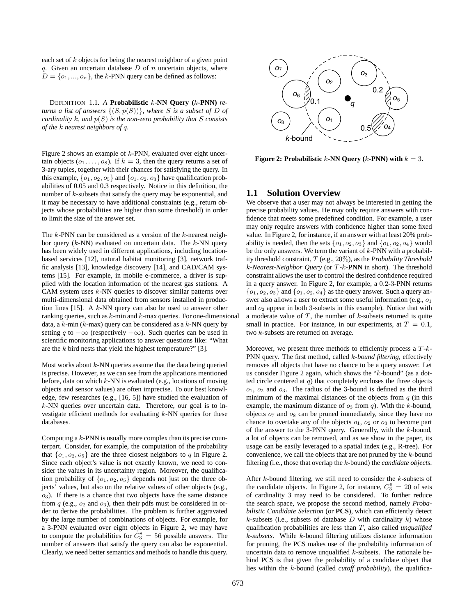each set of  $k$  objects for being the nearest neighbor of a given point q. Given an uncertain database  $D$  of  $n$  uncertain objects, where  $D = \{o_1, ..., o_n\}$ , the k-PNN query can be defined as follows:

DEFINITION 1.1. *A* **Probabilistic** k**-NN Query (**k**-PNN)** *returns a list of answers*  $\{(S, p(S))\}$ *, where S is a subset of D of cardinality* k*, and* p(S) *is the non-zero probability that* S *consists of the* k *nearest neighbors of* q*.*

Figure 2 shows an example of  $k$ -PNN, evaluated over eight uncertain objects  $(o_1, \ldots, o_8)$ . If  $k = 3$ , then the query returns a set of 3-ary tuples, together with their chances for satisfying the query. In this example,  $\{o_1, o_2, o_5\}$  and  $\{o_1, o_2, o_3\}$  have qualification probabilities of 0.05 and 0.3 respectively. Notice in this definition, the number of  $k$ -subsets that satisfy the query may be exponential, and it may be necessary to have additional constraints (e.g., return objects whose probabilities are higher than some threshold) in order to limit the size of the answer set.

The  $k$ -PNN can be considered as a version of the  $k$ -nearest neighbor query  $(k-NN)$  evaluated on uncertain data. The  $k-NN$  query has been widely used in different applications, including locationbased services [12], natural habitat monitoring [3], network traffic analysis [13], knowledge discovery [14], and CAD/CAM systems [15]. For example, in mobile e-commerce, a driver is supplied with the location information of the nearest gas stations. A CAM system uses  $k$ -NN queries to discover similar patterns over multi-dimensional data obtained from sensors installed in production lines  $[15]$ . A k-NN query can also be used to answer other ranking queries, such as  $k$ -min and  $k$ -max queries. For one-dimensional data, a  $k$ -min ( $k$ -max) query can be considered as a  $k$ -NN query by setting q to  $-\infty$  (respectively  $+\infty$ ). Such queries can be used in scientific monitoring applications to answer questions like: "What are the  $k$  bird nests that yield the highest temperature?" [3].

Most works about  $k$ -NN queries assume that the data being queried is precise. However, as we can see from the applications mentioned before, data on which  $k$ -NN is evaluated (e.g., locations of moving objects and sensor values) are often imprecise. To our best knowledge, few researches (e.g., [16, 5]) have studied the evaluation of k-NN queries over uncertain data. Therefore, our goal is to investigate efficient methods for evaluating  $k$ -NN queries for these databases.

Computing a  $k$ -PNN is usually more complex than its precise counterpart. Consider, for example, the computation of the probability that  $\{o_1, o_2, o_5\}$  are the three closest neighbors to q in Figure 2. Since each object's value is not exactly known, we need to consider the values in its uncertainty region. Moreover, the qualification probability of  $\{o_1, o_2, o_5\}$  depends not just on the three objects' values, but also on the relative values of other objects (e.g.,  $o_3$ ). If there is a chance that two objects have the same distance from  $q$  (e.g.,  $o_2$  and  $o_3$ ), then their pdfs must be considered in order to derive the probabilities. The problem is further aggravated by the large number of combinations of objects. For example, for a 3-PNN evaluated over eight objects in Figure 2, we may have to compute the probabilities for  $C_3^8 = 56$  possible answers. The number of answers that satisfy the query can also be exponential. Clearly, we need better semantics and methods to handle this query.



**Figure 2: Probabilistic** k-NN Query ( $k$ -PNN) with  $k = 3$ .

#### **1.1 Solution Overview**

We observe that a user may not always be interested in getting the precise probability values. He may only require answers with confidence that meets some predefined condition. For example, a user may only require answers with confidence higher than some fixed value. In Figure 2, for instance, if an answer with at least 20% probability is needed, then the sets  ${o_1, o_2, o_3}$  and  ${o_1, o_2, o_4}$  would be the only answers. We term the variant of  $k$ -PNN with a probability threshold constraint, T (e.g., 20%), as the *Probability Threshold* k*-Nearest-Neighbor Query* (or T**-**k**-PNN** in short). The threshold constraint allows the user to control the desired confidence required in a query answer. In Figure 2, for example, a 0.2-3-PNN returns  ${o_1, o_2, o_3}$  and  ${o_1, o_2, o_4}$  as the query answer. Such a query answer also allows a user to extract some useful information (e.g.,  $o_1$ ) and  $o_2$  appear in both 3-subsets in this example). Notice that with a moderate value of  $T$ , the number of  $k$ -subsets returned is quite small in practice. For instance, in our experiments, at  $T = 0.1$ , two k-subsets are returned on average.

Moreover, we present three methods to efficiently process a  $T-k$ -PNN query. The first method, called k*-bound filtering*, effectively removes all objects that have no chance to be a query answer. Let us consider Figure 2 again, which shows the "k-bound" (as a dotted circle centered at  $q$ ) that completely encloses the three objects  $o_1$ ,  $o_2$  and  $o_3$ . The radius of the 3-bound is defined as the third minimum of the maximal distances of the objects from  $q$  (in this example, the maximum distance of  $o_3$  from q). With the k-bound, objects  $o<sub>7</sub>$  and  $o<sub>8</sub>$  can be pruned immediately, since they have no chance to overtake any of the objects  $o_1$ ,  $o_2$  or  $o_3$  to become part of the answer to the 3-PNN query. Generally, with the k-bound, a lot of objects can be removed, and as we show in the paper, its usage can be easily leveraged to a spatial index (e.g., R-tree). For convenience, we call the objects that are not pruned by the k-bound filtering (i.e., those that overlap the k-bound) the *candidate objects*.

After  $k$ -bound filtering, we still need to consider the  $k$ -subsets of the candidate objects. In Figure 2, for instance,  $C_3^6 = 20$  of sets of cardinality 3 may need to be considered. To further reduce the search space, we propose the second method, namely *Probabilistic Candidate Selection* (or **PCS**), which can efficiently detect k-subsets (i.e., subsets of database  $D$  with cardinality  $k$ ) whose qualification probabilities are less than T, also called *unqualified* k*-subsets*. While k-bound filtering utilizes distance information for pruning, the PCS makes use of the probability information of uncertain data to remove unqualified  $k$ -subsets. The rationale behind PCS is that given the probability of a candidate object that lies within the k-bound (called *cutoff probability*), the qualifica-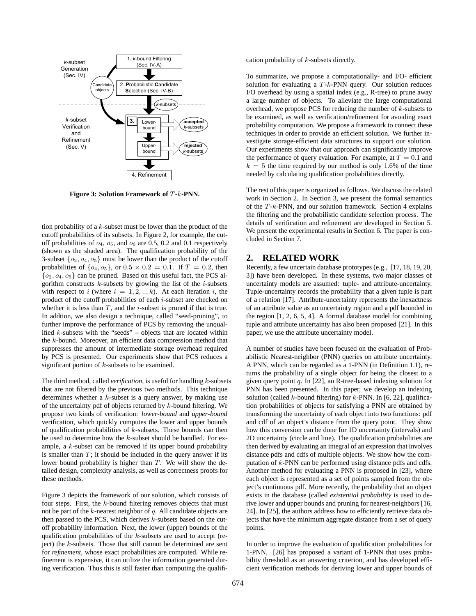

**Figure 3: Solution Framework of** T**-**k**-PNN.**

tion probability of a  $k$ -subset must be lower than the product of the cutoff probabilities of its subsets. In Figure 2, for example, the cutoff probabilities of  $o_4$ ,  $o_5$ , and  $o_6$  are 0.5, 0.2 and 0.1 respectively (shown as the shaded area). The qualification probability of the 3-subset  $\{o_2, o_4, o_5\}$  must be lower than the product of the cutoff probabilities of  $\{o_4, o_5\}$ , or  $0.5 \times 0.2 = 0.1$ . If  $T = 0.2$ , then  ${o_2, o_4, o_5}$  can be pruned. Based on this useful fact, the PCS algorithm constructs  $k$ -subsets by growing the list of the  $i$ -subsets with respect to i (where  $i = 1, 2, ..., k$ ). At each iteration i, the product of the cutoff probabilities of each i-subset are checked on whether it is less than  $T$ , and the *i*-subset is pruned if that is true. In addtion, we also design a technique, called "seed-pruning", to further improve the performance of PCS by removing the unqualified  $k$ -subsets with the "seeds" – objects that are located within the k-bound. Moreover, an efficient data compression method that suppresses the amount of intermediate storage overhead required by PCS is presented. Our experiments show that PCS reduces a significant portion of  $k$ -subsets to be examined.

The third method, called *verification*, is useful for handling k-subsets that are not filtered by the previous two methods. This technique determines whether a  $k$ -subset is a query answer, by making use of the uncertainty pdf of objects returned by k-bound filtering. We propose two kinds of verification: *lower-bound* and *upper-bound* verification, which quickly computes the lower and upper bounds of qualification probabilities of  $k$ -subsets. These bounds can then be used to determine how the  $k$ -subset should be handled. For example, a  $k$ -subset can be removed if its upper bound probability is smaller than  $T$ ; it should be included in the query answer if its lower bound probability is higher than  $T$ . We will show the detailed design, complexity analysis, as well as correctness proofs for these methods.

Figure 3 depicts the framework of our solution, which consists of four steps. First, the k-bound filtering removes objects that must not be part of the  $k$ -nearest neighbor of  $q$ . All candidate objects are then passed to the PCS, which derives k-subsets based on the cutoff probability information. Next, the lower (upper) bounds of the qualification probabilities of the k-subsets are used to accept (reject) the  $k$ -subsets. Those that still cannot be determined are sent for *refinement*, whose exact probabilities are computed. While refinement is expensive, it can utilize the information generated during verification. Thus this is still faster than computing the qualification probability of k-subsets directly.

To summarize, we propose a computationally- and I/O- efficient solution for evaluating a  $T-k$ -PNN query. Our solution reduces I/O overhead by using a spatial index (e.g., R-tree) to prune away a large number of objects. To alleviate the large computational overhead, we propose PCS for reducing the number of  $k$ -subsets to be examined, as well as verification/refinement for avoiding exact probability computation. We propose a framework to connect these techniques in order to provide an efficient solution. We further investigate storage-efficient data structures to support our solution. Our experiments show that our approach can significantly improve the performance of query evaluation. For example, at  $T = 0.1$  and  $k = 5$  the time required by our method is only 1.6% of the time needed by calculating qualification probabilities directly.

The rest of this paper is organized as follows. We discuss the related work in Section 2. In Section 3, we present the formal semantics of the  $T-k$ -PNN, and our solution framework. Section 4 explains the filtering and the probabilistic candidate selection process. The details of verification and refinement are developed in Section 5. We present the experimental results in Section 6. The paper is concluded in Section 7.

# **2. RELATED WORK**

Recently, a few uncertain database prototypes (e.g., [17, 18, 19, 20, 3]) have been developed. In these systems, two major classes of uncertainty models are assumed: tuple- and attribute-uncertainty. Tuple-uncertainty records the probability that a given tuple is part of a relation [17]. Attribute-uncertainty represents the inexactness of an attribute value as an uncertainty region and a pdf bounded in the region [1, 2, 6, 5, 4]. A formal database model for combining tuple and attribute uncertainty has also been proposed [21]. In this paper, we use the attribute uncertainty model.

A number of studies have been focused on the evaluation of Probabilistic Nearest-neighbor (PNN) queries on attribute uncertainty. A PNN, which can be regarded as a 1-PNN (in Definition 1.1), returns the probability of a single object for being the closest to a given query point  $q$ . In [22], an R-tree-based indexing solution for PNN has been presented. In this paper, we develop an indexing solution (called k-bound filtering) for  $k$ -PNN. In [6, 22], qualification probabilities of objects for satisfying a PNN are obtained by transforming the uncertainty of each object into two functions: pdf and cdf of an object's distance from the query point. They show how this conversion can be done for 1D uncertainty (intervals) and 2D uncertainty (circle and line). The qualification probabilities are then derived by evaluating an integral of an expression that involves distance pdfs and cdfs of multiple objects. We show how the computation of k-PNN can be performed using distance pdfs and cdfs. Another method for evaluating a PNN is proposed in [23], where each object is represented as a set of points sampled from the object's continuous pdf. More recently, the probability that an object exists in the database (called *existential probability* is used to derive lower and upper bounds and pruning for nearest-neighbors [16, 24]. In [25], the authors address how to efficiently retrieve data objects that have the minimum aggregate distance from a set of query points.

In order to improve the evaluation of qualification probabilities for 1-PNN, [26] has proposed a variant of 1-PNN that uses probability threshold as an answering criterion, and has developed efficient verification methods for deriving lower and upper bounds of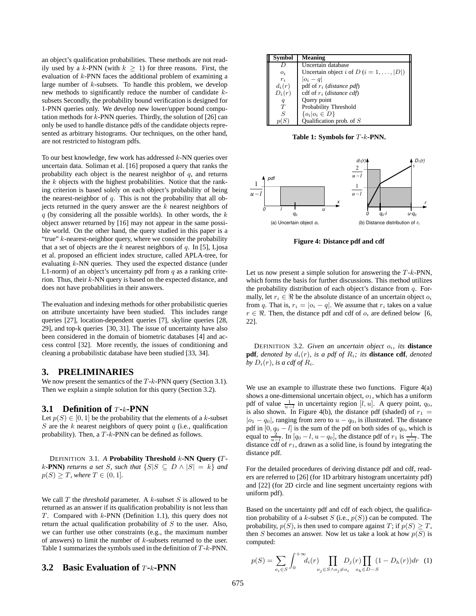an object's qualification probabilities. These methods are not readily used by a k-PNN (with  $k \geq 1$ ) for three reasons. First, the evaluation of  $k$ -PNN faces the additional problem of examining a large number of  $k$ -subsets. To handle this problem, we develop new methods to significantly reduce the number of candidate ksubsets Secondly, the probability bound verification is designed for 1-PNN queries only. We develop new lower/upper bound computation methods for  $k$ -PNN queries. Thirdly, the solution of [26] can only be used to handle distance pdfs of the candidate objects represented as arbitrary histograms. Our techniques, on the other hand, are not restricted to histogram pdfs.

To our best knowledge, few work has addressed  $k$ -NN queries over uncertain data. Soliman et al. [16] proposed a query that ranks the probability each object is the nearest neighbor of  $q$ , and returns the  $k$  objects with the highest probabilities. Notice that the ranking criterion is based solely on each object's probability of being the nearest-neighbor of  $q$ . This is not the probability that all objects returned in the query answer are the  $k$  nearest neighbors of  $q$  (by considering all the possible worlds). In other words, the  $k$ object answer returned by [16] may not appear in the same possible world. On the other hand, the query studied in this paper is a "true"  $k$ -nearest-neighbor query, where we consider the probability that a set of objects are the  $k$  nearest neighbors of  $q$ . In [5], Ljosa et al. proposed an efficient index structure, called APLA-tree, for evaluating  $k$ -NN queries. They used the expected distance (under L1-norm) of an object's uncertainty pdf from  $q$  as a ranking criterion. Thus, their k-NN query is based on the expected distance, and does not have probabilities in their answers.

The evaluation and indexing methods for other probabilistic queries on attribute uncertainty have been studied. This includes range queries [27], location-dependent queries [7], skyline queries [28, 29], and top-k queries [30, 31]. The issue of uncertainty have also been considered in the domain of biometric databases [4] and access control [32]. More recently, the issues of conditioning and cleaning a probabilistic database have been studied [33, 34].

# **3. PRELIMINARIES**

We now present the semantics of the  $T-k$ -PNN query (Section 3.1). Then we explain a simple solution for this query (Section 3.2).

#### **3.1 Definition of** T**-**k**-PNN**

Let  $p(S) \in [0, 1]$  be the probability that the elements of a k-subset S are the  $k$  nearest neighbors of query point  $q$  (i.e., qualification probability). Then, a  $T-k$ -PNN can be defined as follows.

DEFINITION 3.1. *A* **Probability Threshold** k**-NN Query (**T*k***-PNN**) *returns a set S, such that*  $\{S|S \subseteq D \land |S| = k\}$  *and*  $p(S) \geq T$ *, where*  $T \in (0, 1]$ *.* 

We call  $T$  the *threshold* parameter. A  $k$ -subset  $S$  is allowed to be returned as an answer if its qualification probability is not less than T. Compared with  $k$ -PNN (Definition 1.1), this query does not return the actual qualification probability of  $S$  to the user. Also, we can further use other constraints (e.g., the maximum number of answers) to limit the number of  $k$ -subsets returned to the user. Table 1 summarizes the symbols used in the definition of T-k-PNN.

#### **3.2 Basic Evaluation of** T**-**k**-PNN**

| Svmbol   | <b>Meaning</b>                          |
|----------|-----------------------------------------|
|          | Uncertain database                      |
| $O_i$    | Uncertain object i of $D(i = 1, ,  D )$ |
| $r_i$    | $ o_i - q $                             |
| $d_i(r)$ | pdf of $r_i$ (distance pdf)             |
| $D_i(r)$ | cdf of $r_i$ (distance cdf)             |
|          | Query point                             |
| T        | Probability Threshold                   |
| S        | $\{o_i o_i \in D\}$                     |
|          | Qualification prob. of $S$              |

**Table 1: Symbols for** T**-**k**-PNN.**



**Figure 4: Distance pdf and cdf**

Let us now present a simple solution for answering the  $T-k$ -PNN, which forms the basis for further discussions. This method utilizes the probability distribution of each object's distance from  $q$ . Formally, let  $r_i \in \Re$  be the absolute distance of an uncertain object  $o_i$ from q. That is,  $r_i = |o_i - q|$ . We assume that  $r_i$  takes on a value  $r \in \mathcal{R}$ . Then, the distance pdf and cdf of  $o_i$  are defined below [6, 22].

DEFINITION 3.2. *Given an uncertain object* oi*, its* **distance pdf***, denoted by*  $d_i(r)$ *, is a pdf of*  $R_i$ *; its* **distance cdf***, denoted by*  $D_i(r)$ *, is a cdf of*  $R_i$ *.* 

We use an example to illustrate these two functions. Figure 4(a) shows a one-dimensional uncertain object,  $o_1$ , which has a uniform pdf of value  $\frac{1}{u-l}$  in uncertainty region [l, u]. A query point,  $q_0$ , is also shown. In Figure 4(b), the distance pdf (shaded) of  $r_1 =$  $|o_1 - q_0|$ , ranging from zero to  $u - q_0$ , is illustrated. The distance pdf in [0,  $q_0$  – l] is the sum of the pdf on both sides of  $q_0$ , which is equal to  $\frac{2}{u-l}$ . In  $[q_0-l, u-q_0]$ , the distance pdf of  $r_1$  is  $\frac{1}{u-l}$ . The distance cdf of  $r_1$ , drawn as a solid line, is found by integrating the distance pdf.

For the detailed procedures of deriving distance pdf and cdf, readers are referred to [26] (for 1D arbitrary histogram uncertainty pdf) and [22] (for 2D circle and line segment uncertainty regions with uniform pdf).

Based on the uncertainty pdf and cdf of each object, the qualification probability of a k-subset  $S$  (i.e.,  $p(S)$ ) can be computed. The probability,  $p(S)$ , is then used to compare against T; if  $p(S) \geq T$ , then S becomes an answer. Now let us take a look at how  $p(S)$  is computed:

$$
p(S) = \sum_{o_i \in S} \int_0^{+\infty} d_i(r) \prod_{o_j \in S \wedge o_j \neq o_i} D_j(r) \prod_{o_h \in D-S} (1 - D_h(r)) dr \quad (1)
$$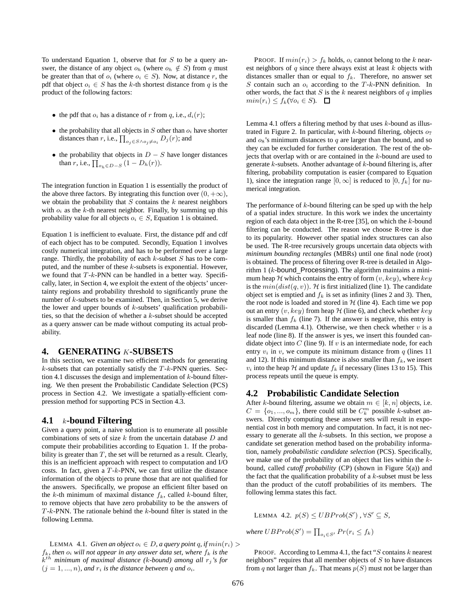To understand Equation 1, observe that for  $S$  to be a query answer, the distance of any object  $o_h$  (where  $o_h \notin S$ ) from q must be greater than that of  $o_i$  (where  $o_i \in S$ ). Now, at distance r, the pdf that object  $o_i \in S$  has the k-th shortest distance from q is the product of the following factors:

- the pdf that  $o_i$  has a distance of r from q, i.e.,  $d_i(r)$ ;
- the probability that all objects in  $S$  other than  $o_i$  have shorter distances than r, i.e.,  $\prod_{o_j \in S \land o_j \neq o_i} D_j(r)$ ; and
- the probability that objects in  $D S$  have longer distances than *r*, i.e.,  $\prod_{o_h \in D-S} (1 - D_h(r)).$

The integration function in Equation 1 is essentially the product of the above three factors. By integrating this function over  $(0, +\infty)$ , we obtain the probability that  $S$  contains the  $k$  nearest neighbors with  $o_i$  as the k-th nearest neighbor. Finally, by summing up this probability value for all objects  $o_i \in S$ , Equation 1 is obtained.

Equation 1 is inefficient to evaluate. First, the distance pdf and cdf of each object has to be computed. Secondly, Equation 1 involves costly numerical integration, and has to be performed over a large range. Thirdly, the probability of each  $k$ -subset  $S$  has to be computed, and the number of these k-subsets is exponential. However, we found that  $T-k-PNN$  can be handled in a better way. Specifically, later, in Section 4, we exploit the extent of the objects' uncertainty regions and probability threshold to significantly prune the number of  $k$ -subsets to be examined. Then, in Section 5, we derive the lower and upper bounds of  $k$ -subsets' qualification probabilities, so that the decision of whether a  $k$ -subset should be accepted as a query answer can be made without computing its actual probability.

#### **4. GENERATING** K**-SUBSETS**

In this section, we examine two efficient methods for generating  $k$ -subsets that can potentially satisfy the  $T-k$ -PNN queries. Section 4.1 discusses the design and implementation of  $k$ -bound filtering. We then present the Probabilistic Candidate Selection (PCS) process in Section 4.2. We investigate a spatially-efficient compression method for supporting PCS in Section 4.3.

#### **4.1** k**-bound Filtering**

Given a query point, a naive solution is to enumerate all possible combinations of sets of size  $k$  from the uncertain database  $D$  and compute their probabilities according to Equation 1. If the probability is greater than  $T$ , the set will be returned as a result. Clearly, this is an inefficient approach with respect to computation and I/O costs. In fact, given a  $T-k$ -PNN, we can first utilize the distance information of the objects to prune those that are not qualified for the answers. Specifically, we propose an efficient filter based on the k-th minimum of maximal distance  $f_k$ , called k-bound filter, to remove objects that have zero probability to be the answers of  $T-k$ -PNN. The rationale behind the  $k$ -bound filter is stated in the following Lemma.

LEMMA 4.1. *Given an object*  $o_i \in D$ , a query point q, if  $min(r_i)$  $f_k$ , then  $o_i$  will not appear in any answer data set, where  $f_k$  is the  $k^{th}$  minimum of maximal distance (k-bound) among all  $r_j$ 's for  $(j = 1, ..., n)$ , and  $r_i$  is the distance between q and  $o_i$ .

PROOF. If  $min(r_i) > f_k$  holds,  $o_i$  cannot belong to the k nearest neighbors of  $q$  since there always exist at least  $k$  objects with distances smaller than or equal to  $f_k$ . Therefore, no answer set S contain such an  $o_i$  according to the T-k-PNN definition. In other words, the fact that  $S$  is the  $k$  nearest neighbors of  $q$  implies  $min(r_i) \leq f_k(\forall o_i \in S)$ .  $\Box$ 

Lemma 4.1 offers a filtering method by that uses  $k$ -bound as illustrated in Figure 2. In particular, with  $k$ -bound filtering, objects  $o<sub>7</sub>$ and  $o_8$ 's minimum distances to  $q$  are larger than the bound, and so they can be excluded for further consideration. The rest of the objects that overlap with or are contained in the k-bound are used to generate  $k$ -subsets. Another advantage of  $k$ -bound filtering is, after filtering, probability computation is easier (compared to Equation 1), since the integration range  $[0, \infty]$  is reduced to  $[0, f_k]$  for numerical integration.

The performance of  $k$ -bound filtering can be sped up with the help of a spatial index structure. In this work we index the uncertainty region of each data object in the R-tree [35], on which the k-bound filtering can be conducted. The reason we choose R-tree is due to its popularity. However other spatial index structures can also be used. The R-tree recursively groups uncertain data objects with *minimum bounding rectangles* (MBRs) until one final node (root) is obtained. The process of filtering over R-tree is detailed in Algorithm  $1$  ( $k$ -bound\_Processing). The algorithm maintains a minimum heap  $H$  which contains the entry of form  $(v, key)$ , where  $key$ is the  $min(dist(q, v))$ . H is first initialized (line 1). The candidate object set is emptied and  $f_k$  is set as infinity (lines 2 and 3). Then, the root node is loaded and stored in  $H$  (line 4). Each time we pop out an entry  $(v, key)$  from heap  $H$  (line 6), and check whether key is smaller than  $f_k$  (line 7). If the answer is negative, this entry is discarded (Lemma 4.1). Otherwise, we then check whether  $v$  is a leaf node (line 8). If the answer is yes, we insert this founded candidate object into  $C$  (line 9). If  $v$  is an intermediate node, for each entry  $v_i$  in  $v$ , we compute its minimum distance from  $q$  (lines 11) and 12). If this minimum distance is also smaller than  $f_k$ , we insert  $v_i$  into the heap  $H$  and update  $f_k$  if necessary (lines 13 to 15). This process repeats until the queue is empty.

#### **4.2 Probabilistic Candidate Selection**

After k-bound filtering, assume we obtain  $m \in [k, n]$  objects, i.e.  $C = \{o_1, ..., o_m\}$ , there could still be  $C_k^m$  possible k-subset answers. Directly computing these answer sets will result in exponential cost in both memory and computation. In fact, it is not necessary to generate all the k-subsets. In this section, we propose a candidate set generation method based on the probability information, namely *probabilistic candidate selection* (PCS). Specifically, we make use of the probability of an object that lies within the kbound, called *cutoff probability* (CP) (shown in Figure 5(a)) and the fact that the qualification probability of a  $k$ -subset must be less than the product of the cutoff probabilities of its members. The following lemma states this fact.

LEMMA 4.2.  $p(S) \leq UBProb(S')$ ,  $\forall S' \subseteq S$ ,

where  $UBProb(S') = \prod_{o_i \in S'} Pr(r_i \leq f_k)$ 

PROOF. According to Lemma 4.1, the fact "S contains k nearest neighbors" requires that all member objects of  $S$  to have distances from q not larger than  $f_k$ . That means  $p(S)$  must not be larger than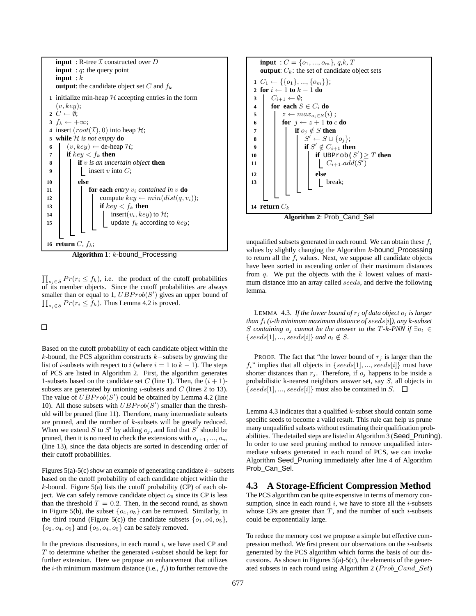

**Algorithm 1**: k-bound\_Processing

 $\prod_{o_i \in S} Pr(r_i \leq f_k)$ , i.e. the product of the cutoff probabilities of its member objects. Since the cutoff probabilities are always smaller than or equal to 1,  $UBProb(S')$  gives an upper bound of  $\prod_{o_i \in S} Pr(r_i \leq f_k)$ . Thus Lemma 4.2 is proved.

## $\Box$

Based on the cutoff probability of each candidate object within the k-bound, the PCS algorithm constructs  $k$ –subsets by growing the list of *i*-subsets with respect to *i* (where  $i = 1$  to  $k - 1$ ). The steps of PCS are listed in Algorithm 2. First, the algorithm generates 1-subsets based on the candidate set C (line 1). Then, the  $(i + 1)$ subsets are generated by unioning *i*-subsets and  $C$  (lines 2 to 13). The value of  $UBProb(S')$  could be obtained by Lemma 4.2 (line 10). All those subsets with  $UBProb(S')$  smaller than the threshold will be pruned (line 11). Therefore, many intermediate subsets are pruned, and the number of  $k$ -subsets will be greatly reduced. When we extend S to S' by adding  $o_j$ , and find that S' should be pruned, then it is no need to check the extensions with  $o_{i+1}, ..., o_m$ (line 13), since the data objects are sorted in descending order of their cutoff probabilities.

Figures 5(a)-5(c) show an example of generating candidate k−subsets based on the cutoff probability of each candidate object within the  $k$ -bound. Figure 5(a) lists the cutoff probability (CP) of each object. We can safely remove candidate object  $o_6$  since its CP is less than the threshold  $T = 0.2$ . Then, in the second round, as shown in Figure 5(b), the subset  ${o_4, o_5}$  can be removed. Similarly, in the third round (Figure 5(c)) the candidate subsets  $\{o_1, o_4, o_5\}$ ,  ${o_2, o_4, o_5}$  and  ${o_3, o_4, o_5}$  can be safely removed.

In the previous discussions, in each round  $i$ , we have used CP and  $T$  to determine whether the generated *i*-subset should be kept for further extension. Here we propose an enhancement that utilizes the *i*-th minimum maximum distance (i.e.,  $f_i$ ) to further remove the



unqualified subsets generated in each round. We can obtain these  $f_i$ values by slightly changing the Algorithm  $k$ -bound\_Processing to return all the  $f_i$  values. Next, we suppose all candidate objects have been sorted in ascending order of their maximum distances from  $q$ . We put the objects with the  $k$  lowest values of maximum distance into an array called seeds, and derive the following lemma.

LEMMA 4.3. If the lower bound of  $r_j$  of data object  $o_j$  is larger *than* f<sup>i</sup> *(*i*-th minimum maximum distance of* seeds[i]*), any* k*-subset* S containing  $o_i$  cannot be the answer to the T-k-PNN if  $\exists o_t \in$  ${seeds}[1], ..., seeds[i]}$  *and*  $o_t \notin S$ *.* 

PROOF. The fact that "the lower bound of  $r_i$  is larger than the  $f_i$ " implies that all objects in  $\{seeds[1], ..., seeds[i]\}$  must have shorter distances than  $r_i$ . Therefore, if  $o_i$  happens to be inside a probabilistic k-nearest neighbors answer set, say S, all objects in  $\{seeds[1], ..., seeds[i]\}$  must also be contained in S.  $\Box$ 

Lemma 4.3 indicates that a qualified  $k$ -subset should contain some specific seeds to become a valid result. This rule can help us prune many unqualified subsets without estimating their qualification probabilities. The detailed steps are listed in Algorithm 3 (Seed\_Pruning). In order to use seed pruning method to remove unqualified intermediate subsets generated in each round of PCS, we can invoke Algorithm Seed\_Pruning immediately after line 4 of Algorithm Prob\_Can\_Sel.

#### **4.3 A Storage-Efficient Compression Method**

The PCS algorithm can be quite expensive in terms of memory consumption, since in each round  $i$ , we have to store all the  $i$ -subsets whose CPs are greater than  $T$ , and the number of such *i*-subsets could be exponentially large.

To reduce the memory cost we propose a simple but effective compression method. We first present our observations on the  $i$ -subsets generated by the PCS algorithm which forms the basis of our discussions. As shown in Figures  $5(a)-5(c)$ , the elements of the generated subsets in each round using Algorithm 2 ( $Prob\_Cand\_Set$ )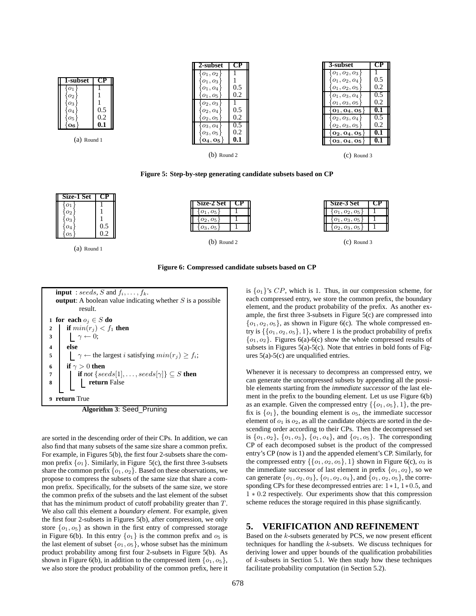

**Figure 5: Step-by-step generating candidate subsets based on CP**

| Size-1 Set     |     |                 |                 |  |
|----------------|-----|-----------------|-----------------|--|
| $^{\circ}o_1$  |     | Size-2 Set<br>u | Size-3 Set      |  |
| $"o_2$ ,       |     | $ 0_1, 0_5 $    | $o_1, o_2, o_5$ |  |
| 03             |     | $O_2, O_5$      | $0_1, 0_3, 0_5$ |  |
| $^{\circ}$ O4  | 0.5 | 03,05           | $O_2, O_3, O_5$ |  |
| O <sub>5</sub> | 0.2 |                 |                 |  |
|                |     | $(b)$ Round 2   | $(c)$ Round 3   |  |
| (a) Round 1    |     |                 |                 |  |

**Figure 6: Compressed candidate subsets based on CP**

| <b>input</b> : seeds, S and $f_i, \ldots, f_k$ .<br><b>output</b> : A boolean value indicating whether $S$ is a possible<br>result.                                       |  |  |  |  |
|---------------------------------------------------------------------------------------------------------------------------------------------------------------------------|--|--|--|--|
| 1 for each $o_j \in S$ do                                                                                                                                                 |  |  |  |  |
| $\boldsymbol{2}$                                                                                                                                                          |  |  |  |  |
| $\begin{array}{l} \mbox{if } min(r_j) < f_1 \mbox{ then}\\ \mbox{} \gamma \leftarrow 0; \end{array}$<br>$\overline{\mathbf{3}}$                                           |  |  |  |  |
| else<br>$\overline{\mathbf{4}}$                                                                                                                                           |  |  |  |  |
| $\overline{\mathbf{5}}$<br>$\mid \gamma \leftarrow$ the largest <i>i</i> satisfying $min(r_j) \geq f_i$ ;                                                                 |  |  |  |  |
| 6<br>if $\gamma > 0$ then                                                                                                                                                 |  |  |  |  |
| $\begin{array}{c} 7 \\ 8 \end{array}$<br><b>if</b> not { $seeds[1], \ldots$ , $seeds[\gamma]$ } $\subseteq$ <i>S</i> <b>then</b><br>$\begin{bmatrix}$ <b>return</b> False |  |  |  |  |
|                                                                                                                                                                           |  |  |  |  |
|                                                                                                                                                                           |  |  |  |  |
| return True<br>9                                                                                                                                                          |  |  |  |  |

**Algorithm 3**: Seed\_Pruning

are sorted in the descending order of their CPs. In addition, we can also find that many subsets of the same size share a common prefix. For example, in Figures 5(b), the first four 2-subsets share the common prefix  $\{o_1\}$ . Similarly, in Figure 5(c), the first three 3-subsets share the common prefix  $\{o_1, o_2\}$ . Based on these observations, we propose to compress the subsets of the same size that share a common prefix. Specifically, for the subsets of the same size, we store the common prefix of the subsets and the last element of the subset that has the minimum product of cutoff probability greater than T. We also call this element a *boundary element*. For example, given the first four 2-subsets in Figures 5(b), after compression, we only store  $\{o_1, o_5\}$  as shown in the first entry of compressed storage in Figure 6(b). In this entry  $\{o_1\}$  is the common prefix and  $o_5$  is the last element of subset  $\{o_1, o_5\}$ , whose subset has the minimum product probability among first four 2-subsets in Figure 5(b). As shown in Figure 6(b), in addition to the compressed item  $\{o_1, o_5\}$ , we also store the product probability of the common prefix, here it is  $\{o_1\}$ 's  $CP$ , which is 1. Thus, in our compression scheme, for each compressed entry, we store the common prefix, the boundary element, and the product probability of the prefix. As another example, the first three 3-subsets in Figure 5(c) are compressed into  ${o_1, o_2, o_5}$ , as shown in Figure 6(c). The whole compressed entry is  $\{\{o_1, o_2, o_5\}, 1\}$ , where 1 is the product probability of prefix  ${o_1, o_2}$ . Figures 6(a)-6(c) show the whole compressed results of subsets in Figures 5(a)-5(c). Note that entries in bold fonts of Figures 5(a)-5(c) are unqualified entries.

Whenever it is necessary to decompress an compressed entry, we can generate the uncompressed subsets by appending all the possible elements starting from the *immediate successor* of the last element in the prefix to the bounding element. Let us use Figure 6(b) as an example. Given the compressed entry  $\{\{o_1, o_5\}, 1\}$ , the prefix is  $\{o_1\}$ , the bounding element is  $o_5$ , the immediate successor element of  $o_1$  is  $o_2$ , as all the candidate objects are sorted in the descending order according to their CPs. Then the decompressed set is  $\{o_1, o_2\}$ ,  $\{o_1, o_3\}$ ,  $\{o_1, o_4\}$ , and  $\{o_1, o_5\}$ . The corresponding CP of each decomposed subset is the product of the compressed entry's CP (now is 1) and the appended element's CP. Similarly, for the compressed entry  $\{\{o_1, o_2, o_5\}, 1\}$  shown in Figure 6(c),  $o_3$  is the immediate successor of last element in prefix  $\{o_1, o_2\}$ , so we can generate  $\{o_1, o_2, o_3\}$ ,  $\{o_1, o_2, o_4\}$ , and  $\{o_1, o_2, o_5\}$ , the corresponding CPs for these decompressed entries are: 1∗1, 1∗0.5, and 1 ∗ 0.2 respectively. Our experiments show that this compression scheme reduces the storage required in this phase significantly.

# **5. VERIFICATION AND REFINEMENT**

Based on the  $k$ -subsets generated by PCS, we now present efficent techniques for handling the  $k$ -subsets. We discuss techniques for deriving lower and upper bounds of the qualification probabilities of  $k$ -subsets in Section 5.1. We then study how these techniques facilitate probability computation (in Section 5.2).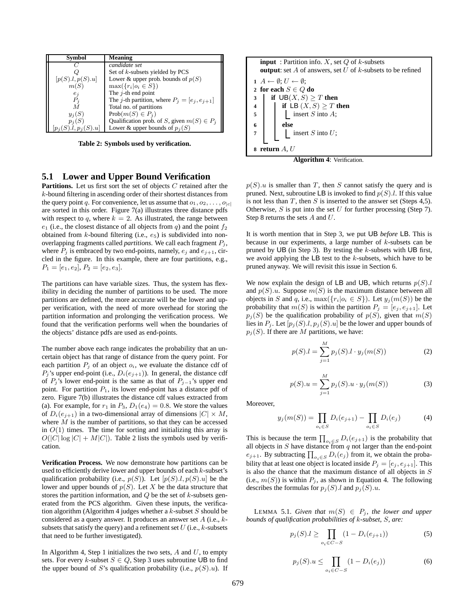| Symbol                         | <b>Meaning</b>                                           |
|--------------------------------|----------------------------------------------------------|
|                                | candidate set                                            |
|                                | Set of $k$ -subsets yielded by PCS                       |
| $[p(S) \cdot l, p(S) \cdot u]$ | Lower & upper prob. bounds of $p(S)$                     |
| m(S)                           | $\max(\{r_i o_i \in S\})$                                |
| $e_i$                          | The $j$ -th end point                                    |
| $P_i$                          | The <i>j</i> -th partition, where $P_i = [e_i, e_{i+1}]$ |
|                                | Total no. of partitions                                  |
| $y_i(S)$                       | $Prob(m(S) \in P_i)$                                     |
| $p_i(S)$                       | Qualification prob. of S, given $m(S) \in P_j$           |
| $(S)$ , $l, p_i(S)$ , $u$      | Lower & upper bounds of $p_i(S)$                         |

**Table 2: Symbols used by verification.**

## **5.1 Lower and Upper Bound Verification**

**Partitions.** Let us first sort the set of objects C retained after the k-bound filtering in ascending order of their shortest distances from the query point q. For convenience, let us assume that  $o_1, o_2, \ldots, o_{|c|}$ are sorted in this order. Figure 7(a) illustrates three distance pdfs with respect to q, where  $k = 2$ . As illustrated, the range between  $e_1$  (i.e., the closest distance of all objects from q) and the point  $f_2$ obtained from  $k$ -bound filtering (i.e.,  $e_5$ ) is subdivided into nonoverlapping fragments called *partitions*. We call each fragment  $P_j$ , where  $P_j$  is embraced by two end-points, namely,  $e_j$  and  $e_{j+1}$ , circled in the figure. In this example, there are four partitions, e.g.,  $P_1 = [e_1, e_2], P_2 = [e_2, e_3].$ 

The partitions can have variable sizes. Thus, the system has flexibility in deciding the number of partitions to be used. The more partitions are defined, the more accurate will be the lower and upper verification, with the need of more overhead for storing the partition information and prolonging the verification process. We found that the verification performs well when the boundaries of the objects' distance pdfs are used as end-points.

The number above each range indicates the probability that an uncertain object has that range of distance from the query point. For each partition  $P_i$  of an object  $o_i$ , we evaluate the distance cdf of  $P_j$ 's upper end-point (i.e.,  $D_i(e_{j+1})$ ). In general, the distance cdf of  $P_j$ 's lower end-point is the same as that of  $P_{j-1}$ 's upper end point. For partition  $P_1$ , its lower end-point has a distance pdf of zero. Figure 7(b) illustrates the distance cdf values extracted from (a). For example, for  $r_1$  in  $P_3$ ,  $D_1(e_4) = 0.8$ . We store the values of  $D_i(e_{i+1})$  in a two-dimensional array of dimensions  $|C| \times M$ , where  $M$  is the number of partitions, so that they can be accessed in  $O(1)$  times. The time for sorting and initializing this array is  $O(|C| \log |C| + M|C|)$ . Table 2 lists the symbols used by verification.

**Verification Process.** We now demonstrate how partitions can be used to efficiently derive lower and upper bounds of each  $k$ -subset's qualification probability (i.e.,  $p(S)$ ). Let  $[p(S) \cdot l, p(S) \cdot u]$  be the lower and upper bounds of  $p(S)$ . Let X be the data structure that stores the partition information, and  $Q$  be the set of  $k$ -subsets generated from the PCS algorithm. Given these inputs, the verification algorithm (Algorithm 4 judges whether a  $k$ -subset  $S$  should be considered as a query answer. It produces an answer set  $A$  (i.e.,  $k$ subsets that satisfy the query) and a refinement set  $U$  (i.e.,  $k$ -subsets that need to be further investigated).

In Algorithm 4, Step 1 initializes the two sets,  $A$  and  $U$ , to empty sets. For every k-subset  $S \in Q$ , Step 3 uses subroutine UB to find the upper bound of S's qualification probability (i.e.,  $p(S) \cdot u$ ). If



**Algorithm 4**: Verification.

 $p(S)$ .u is smaller than T, then S cannot satisfy the query and is pruned. Next, subroutine LB is invoked to find  $p(S)$ .l. If this value is not less than  $T$ , then  $S$  is inserted to the answer set (Steps 4,5). Otherwise,  $S$  is put into the set  $U$  for further processing (Step 7). Step 8 returns the sets A and U.

It is worth mention that in Step 3, we put UB *before* LB. This is because in our experiments, a large number of  $k$ -subsets can be pruned by UB (in Step 3). By testing the  $k$ -subsets with UB first, we avoid applying the  $LB$  test to the k-subsets, which have to be pruned anyway. We will revisit this issue in Section 6.

We now explain the design of LB and UB, which returns  $p(S)$ . and  $p(S) \cdot u$ . Suppose  $m(S)$  is the maximum distance between all objects in S and q, i.e.,  $\max({r_i|o_i \in S})$ . Let  $y_j(m(S))$  be the probability that  $m(S)$  is within the partition  $P_j = [e_j, e_{j+1}]$ . Let  $p_j(S)$  be the qualification probability of  $p(S)$ , given that  $m(S)$ lies in  $P_j$ . Let  $[p_j(S) \cdot l, p_j(S) \cdot u]$  be the lower and upper bounds of  $p_i(S)$ . If there are M partitions, we have:

$$
p(S).l = \sum_{j=1}^{M} p_j(S).l \cdot y_j(m(S))
$$
 (2)

$$
p(S).u = \sum_{j=1}^{M} p_j(S).u \cdot y_j(m(S))
$$
 (3)

Moreover,

$$
y_j(m(S)) = \prod_{o_i \in S} D_i(e_{j+1}) - \prod_{o_i \in S} D_i(e_j)
$$
 (4)

This is because the term  $\prod_{o_i \in S} D_i(e_{j+1})$  is the probability that all objects in S have distance from q not larger than the end-point  $e_{j+1}$ . By subtracting  $\prod_{o_i \in S} D_i(e_j)$  from it, we obtain the probability that at least one object is located inside  $P_j = [e_j, e_{j+1}]$ . This is also the chance that the maximum distance of all objects in S (i.e.,  $m(S)$ ) is within  $P_i$ , as shown in Equation 4. The following describes the formulas for  $p_j(S)$ .l and  $p_j(S)$ .u.

LEMMA 5.1. *Given that*  $m(S) \in P_j$ *, the lower and upper bounds of qualification probabilities of* k*-subset,* S*, are:*

$$
p_j(S).l \ge \prod_{o_i \in C-S} (1 - D_i(e_{j+1})) \tag{5}
$$

$$
p_j(S).u \le \prod_{o_i \in C-S} (1 - D_i(e_j))
$$
 (6)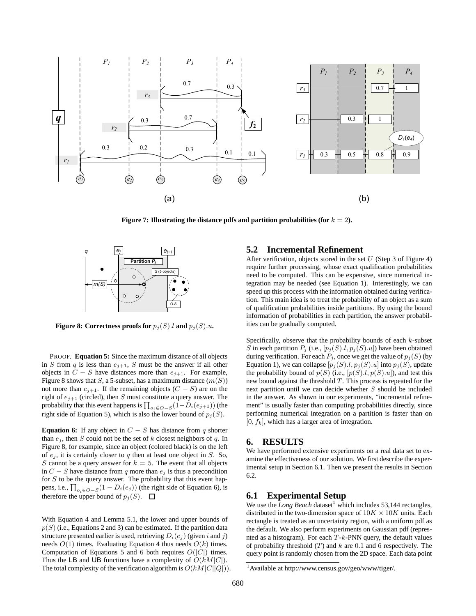

**Figure 7: Illustrating the distance pdfs and partition probabilities (for**  $k = 2$ ).



**Figure 8: Correctness proofs for**  $p_i(S)$ .l **and**  $p_i(S)$ .u.

PROOF. **Equation 5:** Since the maximum distance of all objects in S from q is less than  $e_{j+1}$ , S must be the answer if all other objects in  $C - S$  have distances more than  $e_{j+1}$ . For example, Figure 8 shows that  $S$ , a 5-subset, has a maximum distance  $(m(S))$ not more than  $e_{j+1}$ . If the remaining objects  $(C - S)$  are on the right of  $e_{j+1}$  (circled), then S must constitute a query answer. The probability that this event happens is  $\prod_{o_i\in O-S}(1-D_i(e_{j+1}))$  (the right side of Equation 5), which is also the lower bound of  $p_i(S)$ .

**Equation 6:** If any object in  $C - S$  has distance from q shorter than  $e_j$ , then S could not be the set of k closest neighbors of q. In Figure 8, for example, since an object (colored black) is on the left of  $e_j$ , it is certainly closer to q then at least one object in S. So, S cannot be a query answer for  $k = 5$ . The event that all objects in  $C - S$  have distance from q more than  $e_j$  is thus a precondition for  $S$  to be the query answer. The probability that this event happens, i.e.,  $\prod_{o_i \in O-S} (1 - D_i(e_j))$  (the right side of Equation 6), is therefore the upper bound of  $p_j(S)$ .  $\Box$ 

With Equation 4 and Lemma 5.1, the lower and upper bounds of  $p(S)$  (i.e., Equations 2 and 3) can be estimated. If the partition data structure presented earlier is used, retrieving  $D_i(e_i)$  (given i and j) needs  $O(1)$  times. Evaluating Equation 4 thus needs  $O(k)$  times. Computation of Equations 5 and 6 both requires  $O(|C|)$  times. Thus the LB and UB functions have a complexity of  $O(kM|C|)$ . The total complexity of the verification algorithm is  $O(kM|C||Q|)$ .

#### **5.2 Incremental Refinement**

After verification, objects stored in the set  $U$  (Step 3 of Figure 4) require further processing, whose exact qualification probabilities need to be computed. This can be expensive, since numerical integration may be needed (see Equation 1). Interestingly, we can speed up this process with the information obtained during verification. This main idea is to treat the probability of an object as a sum of qualification probabilities inside partitions. By using the bound information of probabilities in each partition, the answer probabilities can be gradually computed.

Specifically, observe that the probability bounds of each  $k$ -subset S in each partition  $P_i$  (i.e.,  $[p_i(S) \cdot l, p_i(S) \cdot u]$ ) have been obtained during verification. For each  $P_j$ , once we get the value of  $p_j(S)$  (by Equation 1), we can collapse  $[p_i(S) \cdot l, p_i(S) \cdot u]$  into  $p_i(S)$ , update the probability bound of  $p(S)$  (i.e.,  $[p(S) \cdot l, p(S) \cdot u]$ ), and test this new bound against the threshold T. This process is repeated for the next partition until we can decide whether S should be included in the answer. As shown in our experiments, "incremental refinement" is usually faster than computing probabilities directly, since performing numerical integration on a partition is faster than on  $[0, f_k]$ , which has a larger area of integration.

#### **6. RESULTS**

We have performed extensive experiments on a real data set to examine the effectiveness of our solution. We first describe the experimental setup in Section 6.1. Then we present the results in Section 6.2.

#### **6.1 Experimental Setup**

We use the *Long Beach* dataset<sup>1</sup> which includes 53,144 rectangles, distributed in the two-dimension space of  $10K \times 10K$  units. Each rectangle is treated as an uncertainty region, with a uniform pdf as the default. We also perform experiments on Gaussian pdf (represnted as a histogram). For each  $T-k$ -PNN query, the default values of probability threshold  $(T)$  and k are 0.1 and 6 respectively. The query point is randomly chosen from the 2D space. Each data point

<sup>1</sup>Available at http://www.census.gov/geo/www/tiger/.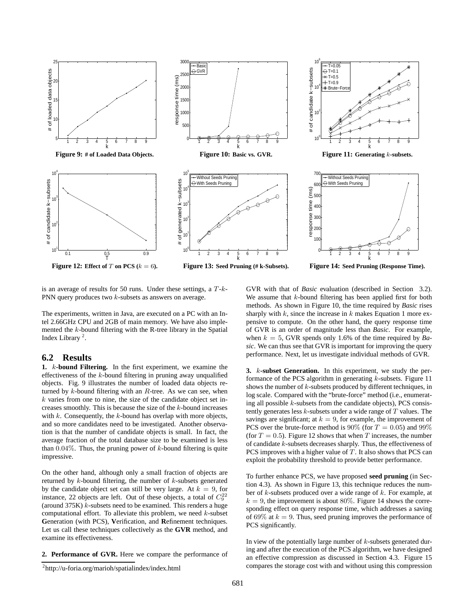

is an average of results for 50 runs. Under these settings, a  $T-k$ -PNN query produces two k-subsets as answers on average.

The experiments, written in Java, are executed on a PC with an Intel 2.66GHz CPU and 2GB of main memory. We have also implemented the k-bound filtering with the R-tree library in the Spatial Index Library<sup>2</sup>.

# **6.2 Results**

**1.** k**-bound Filtering.** In the first experiment, we examine the effectiveness of the  $k$ -bound filtering in pruning away unqualified objects. Fig. 9 illustrates the number of loaded data objects returned by  $k$ -bound filtering with an  $R$ -tree. As we can see, when  $k$  varies from one to nine, the size of the candidate object set increases smoothly. This is because the size of the k-bound increases with  $k$ . Consequently, the  $k$ -bound has overlap with more objects, and so more candidates need to be investigated. Another observation is that the number of candidate objects is small. In fact, the average fraction of the total database size to be examined is less than  $0.04\%$ . Thus, the pruning power of  $k$ -bound filtering is quite impressive.

On the other hand, although only a small fraction of objects are returned by  $k$ -bound filtering, the number of  $k$ -subsets generated by the candidate object set can still be very large. At  $k = 9$ , for instance, 22 objects are left. Out of these objects, a total of  $C_9^{22}$ (around  $375K$ ) k-subsets need to be examined. This renders a huge computational effort. To alleviate this problem, we need  $k$ -subset **G**eneration (with PCS), **V**erification, and **R**efinement techniques. Let us call these techniques collectively as the **GVR** method, and examine its effectiveness.

**2. Performance of GVR.** Here we compare the performance of

GVR with that of *Basic* evaluation (described in Section 3.2). We assume that  $k$ -bound filtering has been applied first for both methods. As shown in Figure 10, the time required by *Basic* rises sharply with  $k$ , since the increase in  $k$  makes Equation 1 more expensive to compute. On the other hand, the query response time of GVR is an order of magnitude less than *Basic*. For example, when  $k = 5$ , GVR spends only 1.6% of the time required by *Basic*. We can thus see that GVR is important for improving the query performance. Next, let us investigate individual methods of GVR.

**3.** k**-subset Generation.** In this experiment, we study the performance of the PCS algorithm in generating  $k$ -subsets. Figure 11 shows the number of  $k$ -subsets produced by different techniques, in log scale. Compared with the "brute-force" method (i.e., enumerating all possible  $k$ -subsets from the candidate objects), PCS consistently generates less  $k$ -subsets under a wide range of  $T$  values. The savings are significant; at  $k = 9$ , for example, the improvement of PCS over the brute-force method is 90% (for  $T = 0.05$ ) and 99% (for  $T = 0.5$ ). Figure 12 shows that when T increases, the number of candidate k-subsets decreases sharply. Thus, the effectiveness of PCS improves with a higher value of T. It also shows that PCS can exploit the probability threshold to provide better performance.

To further enhance PCS, we have proposed **seed pruning** (in Section 4.3). As shown in Figure 13, this technique reduces the number of k-subsets produced over a wide range of k. For example, at  $k = 9$ , the improvement is about 80%. Figure 14 shows the corresponding effect on query response time, which addresses a saving of 69% at  $k = 9$ . Thus, seed pruning improves the performance of PCS significantly.

In view of the potentially large number of  $k$ -subsets generated during and after the execution of the PCS algorithm, we have designed an effective compression as discussed in Section 4.3. Figure 15 compares the storage cost with and without using this compression

<sup>&</sup>lt;sup>2</sup>http://u-foria.org/marioh/spatialindex/index.html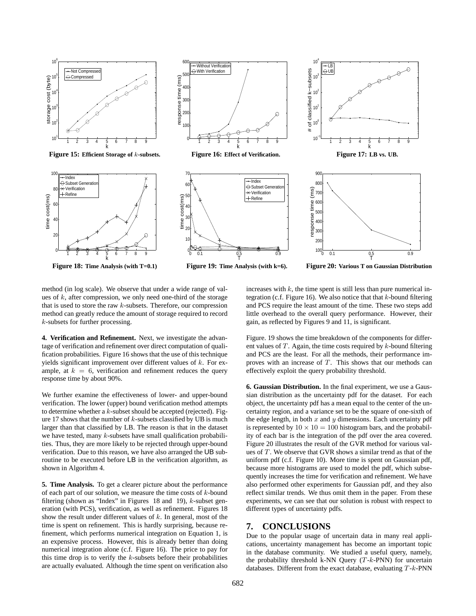

**Figure 15: Efficient Storage of** k**-subsets.**



**Figure 18: Time Analysis (with T=0.1)**





<sup>10</sup>−1 10 <sup>10</sup><sup>1</sup>  $10^2$ 

 $10<sup>3</sup>$  $10<sup>4</sup>$ 

LB UB

# of classified k−subsets

# of classified k-subsets

**Figure 19: Time Analysis (with k=6).**

time cost(ms)

eui

cost(ms)

**Figure 20: Various T on Gaussian Distribution**

method (in log scale). We observe that under a wide range of values of  $k$ , after compression, we only need one-third of the storage that is used to store the raw  $k$ -subsets. Therefore, our compression method can greatly reduce the amount of storage required to record k-subsets for further processing.

**4. Verification and Refinement.** Next, we investigate the advantage of verification and refinement over direct computation of qualification probabilities. Figure 16 shows that the use of this technique yields significant improvement over different values of  $k$ . For example, at  $k = 6$ , verification and refinement reduces the query response time by about 90%.

We further examine the effectiveness of lower- and upper-bound verification. The lower (upper) bound verification method attempts to determine whether a  $k$ -subset should be accepted (rejected). Figure 17 shows that the number of  $k$ -subsets classified by UB is much larger than that classified by LB. The reason is that in the dataset we have tested, many k-subsets have small qualification probabilities. Thus, they are more likely to be rejected through upper-bound verification. Due to this reason, we have also arranged the UB subroutine to be executed before LB in the verification algorithm, as shown in Algorithm 4.

**5. Time Analysis.** To get a clearer picture about the performance of each part of our solution, we measure the time costs of  $k$ -bound filtering (shown as "Index" in Figures 18 and 19), k-subset generation (with PCS), verification, as well as refinement. Figures 18 show the result under different values of  $k$ . In general, most of the time is spent on refinement. This is hardly surprising, because refinement, which performs numerical integration on Equation 1, is an expensive process. However, this is already better than doing numerical integration alone (c.f. Figure 16). The price to pay for this time drop is to verify the  $k$ -subsets before their probabilities are actually evaluated. Although the time spent on verification also increases with  $k$ , the time spent is still less than pure numerical integration (c.f. Figure 16). We also notice that that  $k$ -bound filtering and PCS require the least amount of the time. These two steps add little overhead to the overall query performance. However, their gain, as reflected by Figures 9 and 11, is significant.

Figure. 19 shows the time breakdown of the components for different values of  $T$ . Again, the time costs required by  $k$ -bound filtering and PCS are the least. For all the methods, their performance improves with an increase of T. This shows that our methods can effectively exploit the query probability threshold.

**6. Gaussian Distribution.** In the final experiment, we use a Gaussian distribution as the uncertainty pdf for the dataset. For each object, the uncertainty pdf has a mean equal to the center of the uncertainty region, and a variance set to be the square of one-sixth of the edge length, in both  $x$  and  $y$  dimensions. Each uncertainty pdf is represented by  $10 \times 10 = 100$  histogram bars, and the probability of each bar is the integration of the pdf over the area covered. Figure 20 illustrates the result of the GVR method for various values of T. We observe that GVR shows a similar trend as that of the uniform pdf (c.f. Figure 10). More time is spent on Gaussian pdf, because more histograms are used to model the pdf, which subsequently increases the time for verification and refinement. We have also performed other experiments for Gaussian pdf, and they also reflect similar trends. We thus omit them in the paper. From these experiments, we can see that our solution is robust with respect to different types of uncertainty pdfs.

# **7. CONCLUSIONS**

Due to the popular usage of uncertain data in many real applications, uncertainty management has become an important topic in the database community. We studied a useful query, namely, the probability threshold k-NN Query  $(T-k-PNN)$  for uncertain databases. Different from the exact database, evaluating  $T-k$ -PNN